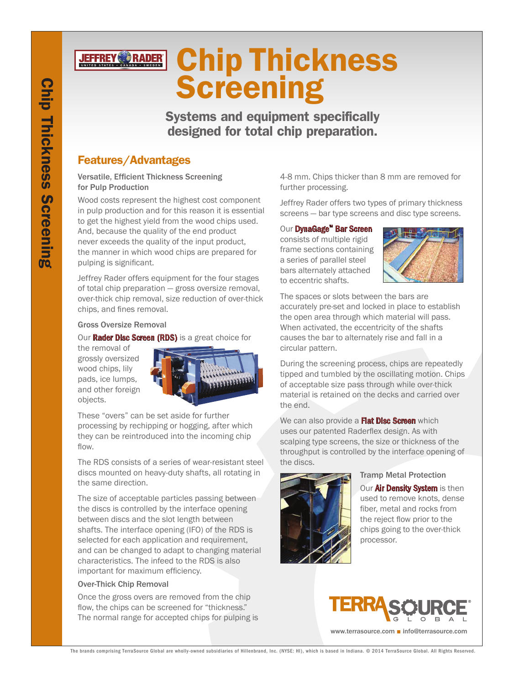# **JEFFREY RADER** Chip Thickness **Screening**

Systems and equipment specifically designed for total chip preparation.

# Features/Advantages

### Versatile, Efficient Thickness Screening for Pulp Production

Wood costs represent the highest cost component in pulp production and for this reason it is essential to get the highest yield from the wood chips used. And, because the quality of the end product never exceeds the quality of the input product, the manner in which wood chips are prepared for pulping is significant.

Jeffrey Rader offers equipment for the four stages of total chip preparation — gross oversize removal, over-thick chip removal, size reduction of over-thick chips, and fines removal.

### Gross Oversize Removal

Our **Rader Disc Screen (RDS)** is a great choice for

the removal of grossly oversized wood chips, lily pads, ice lumps, and other foreign objects.



These "overs" can be set aside for further processing by rechipping or hogging, after which they can be reintroduced into the incoming chip flow.

The RDS consists of a series of wear-resistant steel discs mounted on heavy-duty shafts, all rotating in the same direction.

The size of acceptable particles passing between the discs is controlled by the interface opening between discs and the slot length between shafts. The interface opening (IFO) of the RDS is selected for each application and requirement, and can be changed to adapt to changing material characteristics. The infeed to the RDS is also important for maximum efficiency.

# Over-Thick Chip Removal

Once the gross overs are removed from the chip flow, the chips can be screened for "thickness." The normal range for accepted chips for pulping is 4-8 mm. Chips thicker than 8 mm are removed for further processing.

Jeffrey Rader offers two types of primary thickness screens — bar type screens and disc type screens.

## Our DynaGage™ Bar Screen

consists of multiple rigid frame sections containing a series of parallel steel bars alternately attached to eccentric shafts.



The spaces or slots between the bars are accurately pre-set and locked in place to establish the open area through which material will pass. When activated, the eccentricity of the shafts causes the bar to alternately rise and fall in a circular pattern.

During the screening process, chips are repeatedly tipped and tumbled by the oscillating motion. Chips of acceptable size pass through while over-thick material is retained on the decks and carried over the end.

We can also provide a **Flat Disc Screen** which uses our patented Raderflex design. As with scalping type screens, the size or thickness of the throughput is controlled by the interface opening of the discs.



# Tramp Metal Protection

Our **Air Density System** is then used to remove knots, dense fiber, metal and rocks from the reject flow prior to the chips going to the over-thick processor.



www.terrasource.com ■ info@terrasource.com